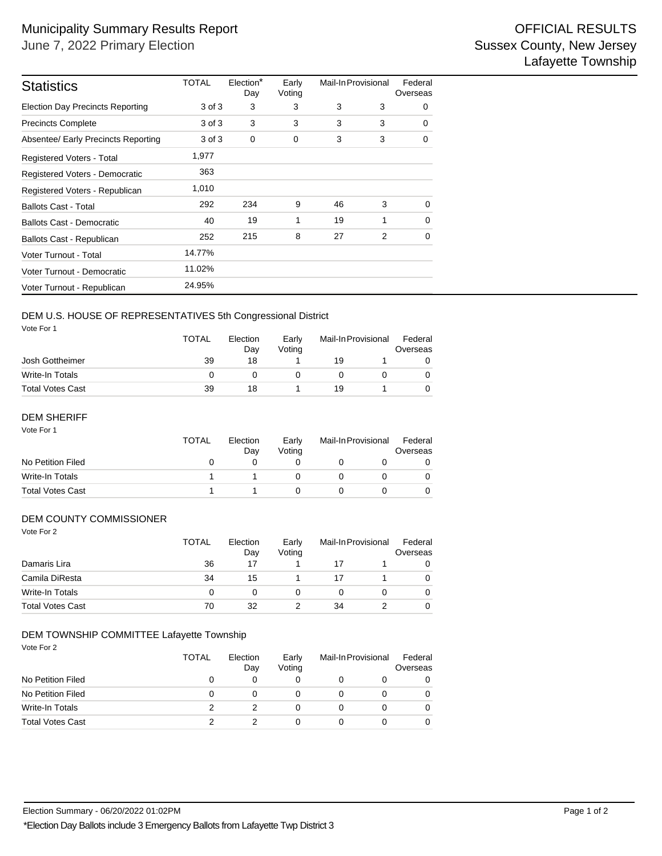| <b>Statistics</b>                                                                                                        | <b>TOTAL</b>       | Election*<br>Day      | Early<br>Voting      | Mail-In Provisional       |        | Federal<br>Overseas      |
|--------------------------------------------------------------------------------------------------------------------------|--------------------|-----------------------|----------------------|---------------------------|--------|--------------------------|
| <b>Election Day Precincts Reporting</b>                                                                                  | 3 of 3             | 3                     | 3                    | 3                         | 3      | 0                        |
| <b>Precincts Complete</b>                                                                                                | 3 of 3             | 3                     | 3                    | 3                         | 3      | 0                        |
| Absentee/ Early Precincts Reporting                                                                                      | 3 of 3             | 0                     | 0                    | 3                         | 3      | 0                        |
| Registered Voters - Total                                                                                                | 1,977              |                       |                      |                           |        |                          |
| Registered Voters - Democratic                                                                                           | 363                |                       |                      |                           |        |                          |
| Registered Voters - Republican                                                                                           | 1,010              |                       |                      |                           |        |                          |
| <b>Ballots Cast - Total</b>                                                                                              | 292                | 234                   | 9                    | 46                        | 3      | 0                        |
| <b>Ballots Cast - Democratic</b>                                                                                         | 40                 | 19                    | 1                    | 19                        | 1      | 0                        |
| Ballots Cast - Republican                                                                                                | 252                | 215                   | 8                    | 27                        | 2      | 0                        |
| Voter Turnout - Total                                                                                                    | 14.77%             |                       |                      |                           |        |                          |
| Voter Turnout - Democratic                                                                                               | 11.02%             |                       |                      |                           |        |                          |
| Voter Turnout - Republican                                                                                               | 24.95%             |                       |                      |                           |        |                          |
| DEM U.S. HOUSE OF REPRESENTATIVES 5th Congressional District<br>Vote For 1<br>Josh Gottheimer                            | <b>TOTAL</b><br>39 | Election<br>Day<br>18 | Early<br>Voting<br>1 | Mail-In Provisional<br>19 | 1      | Federal<br>Overseas<br>0 |
| <b>Write-In Totals</b>                                                                                                   | 0                  | 0                     | 0                    | 0                         | 0      | 0                        |
| <b>Total Votes Cast</b>                                                                                                  | 39                 | 18                    | 1                    | 19                        | 1      | 0                        |
| <b>DEM SHERIFF</b><br>Vote For 1                                                                                         | <b>TOTAL</b>       | Election<br>Day       | Early<br>Voting      | Mail-In Provisional       |        | Federal<br>Overseas      |
| No Petition Filed                                                                                                        | 0                  | 0                     | 0                    | 0                         | 0      | 0                        |
| Write-In Totals                                                                                                          | 1                  | 1                     | 0                    | 0                         | 0      | 0                        |
| <b>Total Votes Cast</b>                                                                                                  | $\mathbf{1}$       | 1                     | 0                    | 0                         | 0      | 0                        |
| DEM COUNTY COMMISSIONER<br>Vote For 2                                                                                    | <b>TOTAL</b>       | Election<br>Day       | Early<br>Voting      | Mail-In Provisional       |        | Federal<br>Overseas      |
| Damaris Lira                                                                                                             | 36                 | 17                    | 1                    | 17                        | 1      | 0                        |
| Camila DiResta                                                                                                           | 34                 | 15                    | 1                    | 17                        | 1      | 0                        |
| Write-In Totals                                                                                                          | 0                  | $\pmb{0}$             | 0                    | 0                         | 0      | 0                        |
| <b>Total Votes Cast</b>                                                                                                  | 70                 | 32                    | 2                    | 34                        | 2      | 0                        |
| DEM TOWNSHIP COMMITTEE Lafayette Township<br>Vote For 2                                                                  | <b>TOTAL</b>       | Election              | Early                | Mail-In Provisional       |        | Federal                  |
|                                                                                                                          |                    | Day                   | Voting               |                           |        | Overseas                 |
| No Petition Filed                                                                                                        | 0                  | 0                     | 0                    | 0                         | 0      | 0                        |
| No Petition Filed<br>Write-In Totals                                                                                     | 0<br>2             | 0                     | 0                    | 0                         | 0      | 0                        |
| <b>Total Votes Cast</b>                                                                                                  | $\overline{2}$     | 2<br>2                | 0<br>0               | 0<br>0                    | 0<br>0 | 0<br>0                   |
|                                                                                                                          |                    |                       |                      |                           |        |                          |
| Election Summary - 06/20/2022 01:02PM<br>*Election Day Ballots include 3 Emergency Ballots from Lafayette Twp District 3 |                    |                       |                      |                           |        |                          |

#### DEM U.S. HOUSE OF REPRESENTATIVES 5th Congressional District

|                         | <b>TOTAL</b> | Election<br>Dav | Early<br>Votina |    | Mail-In Provisional |  |
|-------------------------|--------------|-----------------|-----------------|----|---------------------|--|
| Josh Gottheimer         | 39           | 18              |                 | 19 |                     |  |
| Write-In Totals         |              |                 |                 |    |                     |  |
| <b>Total Votes Cast</b> | 39           | 18              |                 | 19 |                     |  |

## DEM SHERIFF

| Vote For 1              | TOTAL | Election<br>Day | Early<br>Votina | Mail-In Provisional |  | Federal<br>Overseas |
|-------------------------|-------|-----------------|-----------------|---------------------|--|---------------------|
| No Petition Filed       | 0     |                 |                 |                     |  |                     |
| Write-In Totals         |       |                 |                 |                     |  |                     |
| <b>Total Votes Cast</b> |       |                 |                 |                     |  |                     |

## DEM COUNTY COMMISSIONER

| Vote For 2              | <b>TOTAL</b> | Election<br>Day | Early<br>Voting | Mail-In Provisional |  | Federal<br>Overseas |  |
|-------------------------|--------------|-----------------|-----------------|---------------------|--|---------------------|--|
| Damaris Lira            | 36           | 17              |                 | 17                  |  | 0                   |  |
| Camila DiResta          | 34           | 15              |                 | 17                  |  | 0                   |  |
| Write-In Totals         | 0            | 0               | 0               | 0                   |  | 0                   |  |
| <b>Total Votes Cast</b> | 70           | 32              |                 | 34                  |  | 0                   |  |

#### DEM TOWNSHIP COMMITTEE Lafayette Township

|                         | <b>TOTAL</b> | Election<br>Day | Early<br>Voting |   | Mail-In Provisional |   |
|-------------------------|--------------|-----------------|-----------------|---|---------------------|---|
| No Petition Filed       |              |                 |                 |   |                     | 0 |
| No Petition Filed       |              |                 |                 |   |                     | 0 |
| Write-In Totals         |              |                 |                 |   |                     | 0 |
| <b>Total Votes Cast</b> |              |                 |                 | 0 |                     | 0 |